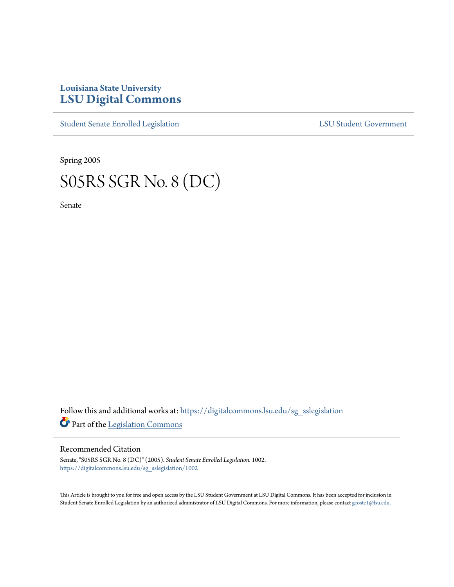## **Louisiana State University [LSU Digital Commons](https://digitalcommons.lsu.edu?utm_source=digitalcommons.lsu.edu%2Fsg_sslegislation%2F1002&utm_medium=PDF&utm_campaign=PDFCoverPages)**

[Student Senate Enrolled Legislation](https://digitalcommons.lsu.edu/sg_sslegislation?utm_source=digitalcommons.lsu.edu%2Fsg_sslegislation%2F1002&utm_medium=PDF&utm_campaign=PDFCoverPages) [LSU Student Government](https://digitalcommons.lsu.edu/sg?utm_source=digitalcommons.lsu.edu%2Fsg_sslegislation%2F1002&utm_medium=PDF&utm_campaign=PDFCoverPages)

Spring 2005

## S05RS SGR No. 8 (DC)

Senate

Follow this and additional works at: [https://digitalcommons.lsu.edu/sg\\_sslegislation](https://digitalcommons.lsu.edu/sg_sslegislation?utm_source=digitalcommons.lsu.edu%2Fsg_sslegislation%2F1002&utm_medium=PDF&utm_campaign=PDFCoverPages) Part of the [Legislation Commons](http://network.bepress.com/hgg/discipline/859?utm_source=digitalcommons.lsu.edu%2Fsg_sslegislation%2F1002&utm_medium=PDF&utm_campaign=PDFCoverPages)

## Recommended Citation

Senate, "S05RS SGR No. 8 (DC)" (2005). *Student Senate Enrolled Legislation*. 1002. [https://digitalcommons.lsu.edu/sg\\_sslegislation/1002](https://digitalcommons.lsu.edu/sg_sslegislation/1002?utm_source=digitalcommons.lsu.edu%2Fsg_sslegislation%2F1002&utm_medium=PDF&utm_campaign=PDFCoverPages)

This Article is brought to you for free and open access by the LSU Student Government at LSU Digital Commons. It has been accepted for inclusion in Student Senate Enrolled Legislation by an authorized administrator of LSU Digital Commons. For more information, please contact [gcoste1@lsu.edu.](mailto:gcoste1@lsu.edu)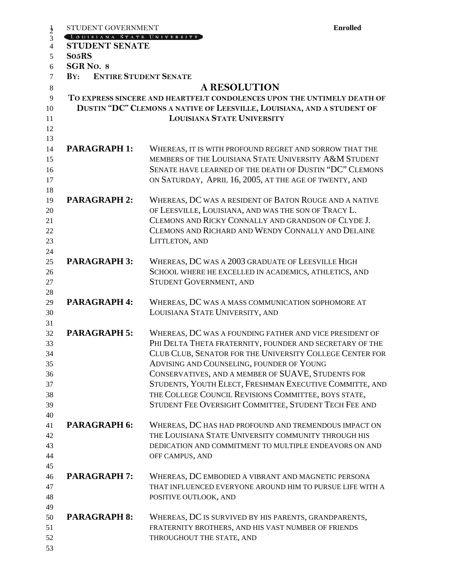| STUDENT GOVERNMENT                  | <b>Enrolled</b>                                                                                                                                                                                                                                                                                                                                                                                                                                                |
|-------------------------------------|----------------------------------------------------------------------------------------------------------------------------------------------------------------------------------------------------------------------------------------------------------------------------------------------------------------------------------------------------------------------------------------------------------------------------------------------------------------|
| LOUISIANA STATE UNIVERSITY          |                                                                                                                                                                                                                                                                                                                                                                                                                                                                |
| <b>STUDENT SENATE</b>               |                                                                                                                                                                                                                                                                                                                                                                                                                                                                |
| So <sub>5</sub> RS                  |                                                                                                                                                                                                                                                                                                                                                                                                                                                                |
| SGR <sub>NO.</sub> 8                |                                                                                                                                                                                                                                                                                                                                                                                                                                                                |
| <b>ENTIRE STUDENT SENATE</b><br>BY: |                                                                                                                                                                                                                                                                                                                                                                                                                                                                |
|                                     | <b>A RESOLUTION</b>                                                                                                                                                                                                                                                                                                                                                                                                                                            |
|                                     | TO EXPRESS SINCERE AND HEARTFELT CONDOLENCES UPON THE UNTIMELY DEATH OF<br>DUSTIN "DC" CLEMONS A NATIVE OF LEESVILLE, LOUISIANA, AND A STUDENT OF<br><b>LOUISIANA STATE UNIVERSITY</b>                                                                                                                                                                                                                                                                         |
| <b>PARAGRAPH 1:</b>                 | WHEREAS, IT IS WITH PROFOUND REGRET AND SORROW THAT THE<br>MEMBERS OF THE LOUISIANA STATE UNIVERSITY A&M STUDENT<br>SENATE HAVE LEARNED OF THE DEATH OF DUSTIN "DC" CLEMONS                                                                                                                                                                                                                                                                                    |
| <b>PARAGRAPH 2:</b>                 | ON SATURDAY, APRIL 16, 2005, AT THE AGE OF TWENTY, AND<br>WHEREAS, DC WAS A RESIDENT OF BATON ROUGE AND A NATIVE                                                                                                                                                                                                                                                                                                                                               |
|                                     | OF LEESVILLE, LOUISIANA, AND WAS THE SON OF TRACY L.<br>CLEMONS AND RICKY CONNALLY AND GRANDSON OF CLYDE J.<br>CLEMONS AND RICHARD AND WENDY CONNALLY AND DELAINE<br>LITTLETON, AND                                                                                                                                                                                                                                                                            |
| <b>PARAGRAPH 3:</b>                 | WHEREAS, DC WAS A 2003 GRADUATE OF LEESVILLE HIGH<br>SCHOOL WHERE HE EXCELLED IN ACADEMICS, ATHLETICS, AND<br><b>STUDENT GOVERNMENT, AND</b>                                                                                                                                                                                                                                                                                                                   |
| <b>PARAGRAPH 4:</b>                 | WHEREAS, DC WAS A MASS COMMUNICATION SOPHOMORE AT<br>LOUISIANA STATE UNIVERSITY, AND                                                                                                                                                                                                                                                                                                                                                                           |
| <b>PARAGRAPH 5:</b>                 | WHEREAS, DC WAS A FOUNDING FATHER AND VICE PRESIDENT OF<br>PHI DELTA THETA FRATERNITY, FOUNDER AND SECRETARY OF THE<br>CLUB CLUB, SENATOR FOR THE UNIVERSITY COLLEGE CENTER FOR<br>ADVISING AND COUNSELING, FOUNDER OF YOUNG<br>CONSERVATIVES, AND A MEMBER OF SUAVE, STUDENTS FOR<br>STUDENTS, YOUTH ELECT, FRESHMAN EXECUTIVE COMMITTE, AND<br>THE COLLEGE COUNCIL REVISIONS COMMITTEE, BOYS STATE,<br>STUDENT FEE OVERSIGHT COMMITTEE, STUDENT TECH FEE AND |
| <b>PARAGRAPH 6:</b>                 | WHEREAS, DC HAS HAD PROFOUND AND TREMENDOUS IMPACT ON<br>THE LOUISIANA STATE UNIVERSITY COMMUNITY THROUGH HIS<br>DEDICATION AND COMMITMENT TO MULTIPLE ENDEAVORS ON AND<br>OFF CAMPUS, AND                                                                                                                                                                                                                                                                     |
| <b>PARAGRAPH 7:</b>                 | WHEREAS, DC EMBODIED A VIBRANT AND MAGNETIC PERSONA<br>THAT INFLUENCED EVERYONE AROUND HIM TO PURSUE LIFE WITH A<br>POSITIVE OUTLOOK, AND                                                                                                                                                                                                                                                                                                                      |
| <b>PARAGRAPH 8:</b>                 | WHEREAS, DC IS SURVIVED BY HIS PARENTS, GRANDPARENTS,<br>FRATERNITY BROTHERS, AND HIS VAST NUMBER OF FRIENDS<br>THROUGHOUT THE STATE, AND                                                                                                                                                                                                                                                                                                                      |